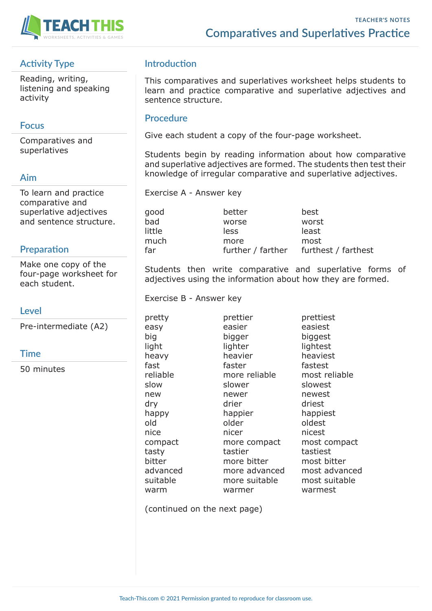

# **Activity Type**

Reading, writing, listening and speaking activity

## **Focus**

Comparatives and superlatives

## **Aim**

To learn and practice comparative and superlative adjectives and sentence structure.

#### **Preparation**

Make one copy of the four-page worksheet for each student.

## **Level**

Pre-intermediate (A2)

#### **Time**

50 minutes

# **Introduction**

This comparatives and superlatives worksheet helps students to learn and practice comparative and superlative adjectives and sentence structure.

#### **Procedure**

Give each student a copy of the four-page worksheet.

Students begin by reading information about how comparative and superlative adjectives are formed. The students then test their knowledge of irregular comparative and superlative adjectives.

Exercise A - Answer key

good better best bad worse worst little less least much more most

far further / farther furthest / farthest

Students then write comparative and superlative forms of adjectives using the information about how they are formed.

Exercise B - Answer key

warm warmer warmest

pretty prettier prettiest easy easier easiest big bigger biggest light lighter lightest heavy heavier heaviest fast faster fastest reliable more reliable most reliable slow slower slowest new newer newest dry drier driest happy happier happiest old older oldest nice nicer nicest compact more compact most compact tasty tastier tastiest bitter more bitter most bitter advanced more advanced most advanced suitable more suitable most suitable

(continued on the next page)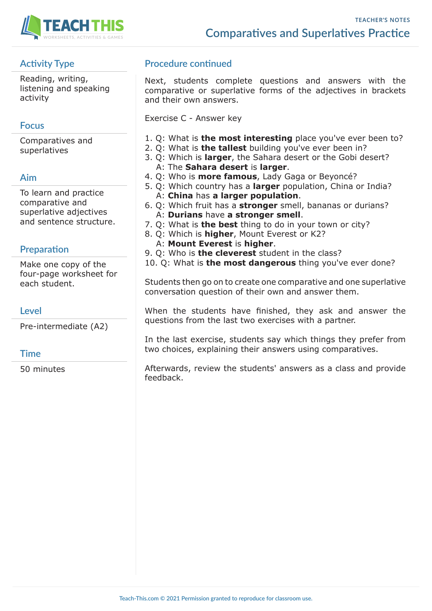

# **Activity Type**

Reading, writing, listening and speaking activity

# **Focus**

Comparatives and superlatives

# **Aim**

To learn and practice comparative and superlative adjectives and sentence structure.

## **Preparation**

Make one copy of the four-page worksheet for each student.

## **Level**

Pre-intermediate (A2)

## **Time**

50 minutes

# **Procedure continued**

Next, students complete questions and answers with the comparative or superlative forms of the adjectives in brackets and their own answers.

Exercise C - Answer key

- 1. Q: What is **the most interesting** place you've ever been to?
- 2. Q: What is **the tallest** building you've ever been in?
- 3. Q: Which is **larger**, the Sahara desert or the Gobi desert? A: The **Sahara desert** is **larger**.
- 4. Q: Who is **more famous**, Lady Gaga or Beyoncé?
- 5. Q: Which country has a **larger** population, China or India? A: **China** has **a larger population**.
- 6. Q: Which fruit has a **stronger** smell, bananas or durians? A: **Durians** have **a stronger smell**.
- 7. Q: What is **the best** thing to do in your town or city?
- 8. Q: Which is **higher**, Mount Everest or K2?
	- A: **Mount Everest** is **higher**.
- 9. Q: Who is **the cleverest** student in the class?
- 10. Q: What is **the most dangerous** thing you've ever done?

Students then go on to create one comparative and one superlative conversation question of their own and answer them.

When the students have finished, they ask and answer the questions from the last two exercises with a partner.

In the last exercise, students say which things they prefer from two choices, explaining their answers using comparatives.

Afterwards, review the students' answers as a class and provide feedback.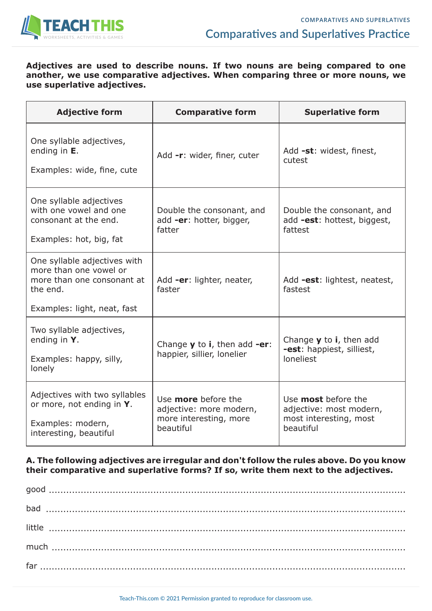

#### **Adjectives are used to describe nouns. If two nouns are being compared to one another, we use comparative adjectives. When comparing three or more nouns, we use superlative adjectives.**

| <b>Adjective form</b>                                                                                                           | <b>Comparative form</b>                                                                      | <b>Superlative form</b>                                                                          |
|---------------------------------------------------------------------------------------------------------------------------------|----------------------------------------------------------------------------------------------|--------------------------------------------------------------------------------------------------|
| One syllable adjectives,<br>ending in $E$ .<br>Examples: wide, fine, cute                                                       | Add -r: wider, finer, cuter                                                                  | Add -st: widest, finest,<br>cutest                                                               |
| One syllable adjectives<br>with one yowel and one<br>consonant at the end.<br>Examples: hot, big, fat                           | Double the consonant, and<br>add -er: hotter, bigger,<br>fatter                              | Double the consonant, and<br>add -est: hottest, biggest,<br>fattest                              |
| One syllable adjectives with<br>more than one vowel or<br>more than one consonant at<br>the end.<br>Examples: light, neat, fast | Add -er: lighter, neater,<br>faster                                                          | Add -est: lightest, neatest,<br>fastest                                                          |
| Two syllable adjectives,<br>ending in $Y$ .<br>Examples: happy, silly,<br>lonely                                                | Change $y$ to i, then add -er:<br>happier, sillier, lonelier                                 | Change $\boldsymbol{y}$ to <b>i</b> , then add<br><b>-est</b> : happiest, silliest,<br>loneliest |
| Adjectives with two syllables<br>or more, not ending in Y.<br>Examples: modern,<br>interesting, beautiful                       | Use <b>more</b> before the<br>adjective: more modern,<br>more interesting, more<br>beautiful | Use <b>most</b> before the<br>adjective: most modern,<br>most interesting, most<br>beautiful     |

#### **A. The following adjectives are irregular and don't follow the rules above. Do you know their comparative and superlative forms? If so, write them next to the adjectives.**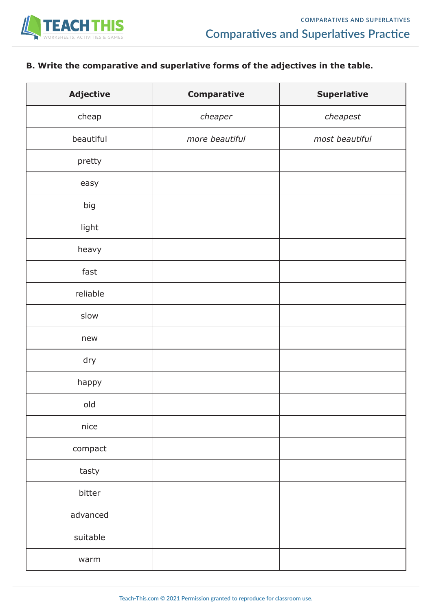

# **B. Write the comparative and superlative forms of the adjectives in the table.**

| <b>Adjective</b> | <b>Comparative</b> | <b>Superlative</b> |
|------------------|--------------------|--------------------|
| cheap            | cheaper            | cheapest           |
| beautiful        | more beautiful     | most beautiful     |
| pretty           |                    |                    |
| easy             |                    |                    |
| big              |                    |                    |
| light            |                    |                    |
| heavy            |                    |                    |
| fast             |                    |                    |
| reliable         |                    |                    |
| slow             |                    |                    |
| new              |                    |                    |
| dry              |                    |                    |
| happy            |                    |                    |
| old              |                    |                    |
| nice             |                    |                    |
| compact          |                    |                    |
| tasty            |                    |                    |
| bitter           |                    |                    |
| advanced         |                    |                    |
| suitable         |                    |                    |
| warm             |                    |                    |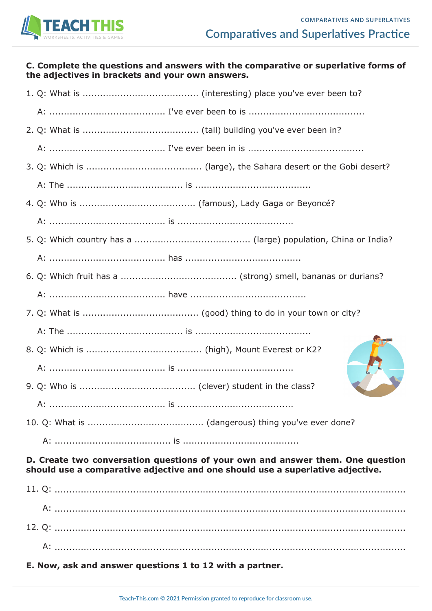

#### **C. Complete the questions and answers with the comparative or superlative forms of the adjectives in brackets and your own answers.**

#### **D. Create two conversation questions of your own and answer them. One question should use a comparative adjective and one should use a superlative adjective.**

| E. Now, ask and answer questions 1 to 12 with a partner. |  |  |
|----------------------------------------------------------|--|--|
|                                                          |  |  |
|                                                          |  |  |
|                                                          |  |  |
|                                                          |  |  |